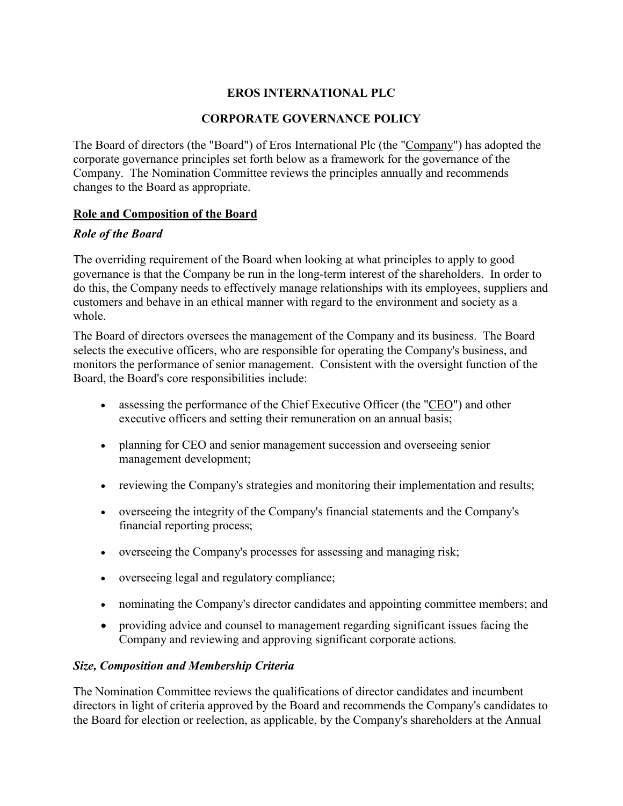# **EROS INTERNATIONAL PLC**

### **CORPORATE GOVERNANCE POLICY**

The Board of directors (the "Board") of Eros International Plc (the "Company") has adopted the corporate governance principles set forth below as a framework for the governance of the Company. The Nomination Committee reviews the principles annually and recommends changes to the Board as appropriate.

#### **Role and Composition of the Board**

#### *Role of the Board*

The overriding requirement of the Board when looking at what principles to apply to good governance is that the Company be run in the long-term interest of the shareholders. In order to do this, the Company needs to effectively manage relationships with its employees, suppliers and customers and behave in an ethical manner with regard to the environment and society as a whole.

The Board of directors oversees the management of the Company and its business. The Board selects the executive officers, who are responsible for operating the Company's business, and monitors the performance of senior management. Consistent with the oversight function of the Board, the Board's core responsibilities include:

- assessing the performance of the Chief Executive Officer (the "CEO") and other executive officers and setting their remuneration on an annual basis;
- planning for CEO and senior management succession and overseeing senior management development;
- reviewing the Company's strategies and monitoring their implementation and results;
- overseeing the integrity of the Company's financial statements and the Company's financial reporting process;
- overseeing the Company's processes for assessing and managing risk;
- overseeing legal and regulatory compliance;
- nominating the Company's director candidates and appointing committee members; and
- providing advice and counsel to management regarding significant issues facing the Company and reviewing and approving significant corporate actions.

#### *Size, Composition and Membership Criteria*

The Nomination Committee reviews the qualifications of director candidates and incumbent directors in light of criteria approved by the Board and recommends the Company's candidates to the Board for election or reelection, as applicable, by the Company's shareholders at the Annual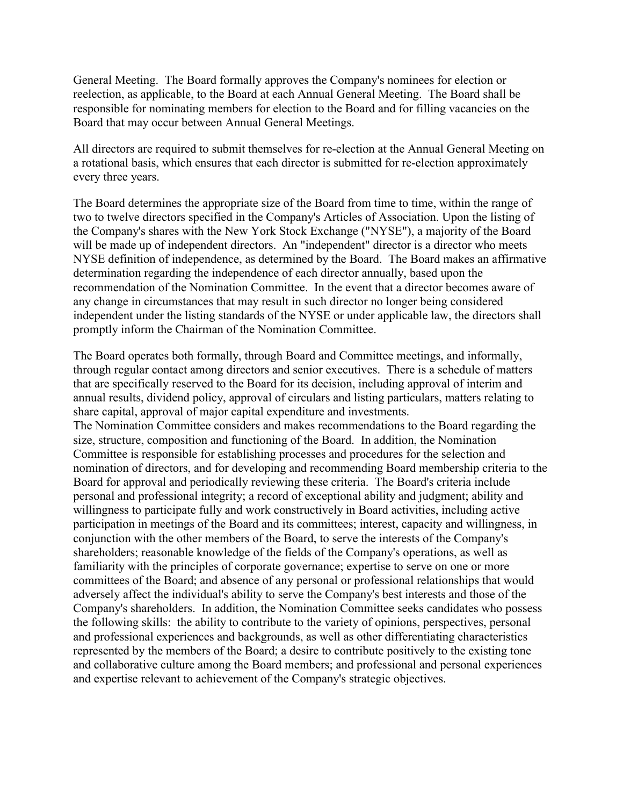General Meeting. The Board formally approves the Company's nominees for election or reelection, as applicable, to the Board at each Annual General Meeting. The Board shall be responsible for nominating members for election to the Board and for filling vacancies on the Board that may occur between Annual General Meetings.

All directors are required to submit themselves for re-election at the Annual General Meeting on a rotational basis, which ensures that each director is submitted for re-election approximately every three years.

The Board determines the appropriate size of the Board from time to time, within the range of two to twelve directors specified in the Company's Articles of Association. Upon the listing of the Company's shares with the New York Stock Exchange ("NYSE"), a majority of the Board will be made up of independent directors. An "independent" director is a director who meets NYSE definition of independence, as determined by the Board. The Board makes an affirmative determination regarding the independence of each director annually, based upon the recommendation of the Nomination Committee. In the event that a director becomes aware of any change in circumstances that may result in such director no longer being considered independent under the listing standards of the NYSE or under applicable law, the directors shall promptly inform the Chairman of the Nomination Committee.

The Board operates both formally, through Board and Committee meetings, and informally, through regular contact among directors and senior executives. There is a schedule of matters that are specifically reserved to the Board for its decision, including approval of interim and annual results, dividend policy, approval of circulars and listing particulars, matters relating to share capital, approval of major capital expenditure and investments. The Nomination Committee considers and makes recommendations to the Board regarding the size, structure, composition and functioning of the Board. In addition, the Nomination Committee is responsible for establishing processes and procedures for the selection and nomination of directors, and for developing and recommending Board membership criteria to the Board for approval and periodically reviewing these criteria. The Board's criteria include personal and professional integrity; a record of exceptional ability and judgment; ability and willingness to participate fully and work constructively in Board activities, including active participation in meetings of the Board and its committees; interest, capacity and willingness, in conjunction with the other members of the Board, to serve the interests of the Company's shareholders; reasonable knowledge of the fields of the Company's operations, as well as familiarity with the principles of corporate governance; expertise to serve on one or more committees of the Board; and absence of any personal or professional relationships that would adversely affect the individual's ability to serve the Company's best interests and those of the Company's shareholders. In addition, the Nomination Committee seeks candidates who possess the following skills: the ability to contribute to the variety of opinions, perspectives, personal and professional experiences and backgrounds, as well as other differentiating characteristics represented by the members of the Board; a desire to contribute positively to the existing tone and collaborative culture among the Board members; and professional and personal experiences and expertise relevant to achievement of the Company's strategic objectives.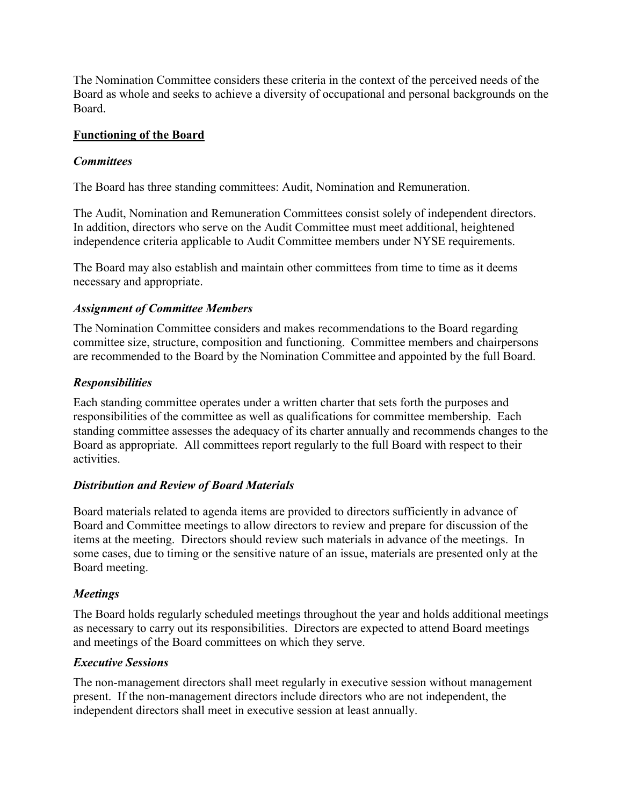The Nomination Committee considers these criteria in the context of the perceived needs of the Board as whole and seeks to achieve a diversity of occupational and personal backgrounds on the Board.

### **Functioning of the Board**

### *Committees*

The Board has three standing committees: Audit, Nomination and Remuneration.

The Audit, Nomination and Remuneration Committees consist solely of independent directors. In addition, directors who serve on the Audit Committee must meet additional, heightened independence criteria applicable to Audit Committee members under NYSE requirements.

The Board may also establish and maintain other committees from time to time as it deems necessary and appropriate.

# *Assignment of Committee Members*

The Nomination Committee considers and makes recommendations to the Board regarding committee size, structure, composition and functioning. Committee members and chairpersons are recommended to the Board by the Nomination Committee and appointed by the full Board.

# *Responsibilities*

Each standing committee operates under a written charter that sets forth the purposes and responsibilities of the committee as well as qualifications for committee membership. Each standing committee assesses the adequacy of its charter annually and recommends changes to the Board as appropriate. All committees report regularly to the full Board with respect to their activities.

# *Distribution and Review of Board Materials*

Board materials related to agenda items are provided to directors sufficiently in advance of Board and Committee meetings to allow directors to review and prepare for discussion of the items at the meeting. Directors should review such materials in advance of the meetings. In some cases, due to timing or the sensitive nature of an issue, materials are presented only at the Board meeting.

# *Meetings*

The Board holds regularly scheduled meetings throughout the year and holds additional meetings as necessary to carry out its responsibilities. Directors are expected to attend Board meetings and meetings of the Board committees on which they serve.

### *Executive Sessions*

The non-management directors shall meet regularly in executive session without management present. If the non-management directors include directors who are not independent, the independent directors shall meet in executive session at least annually.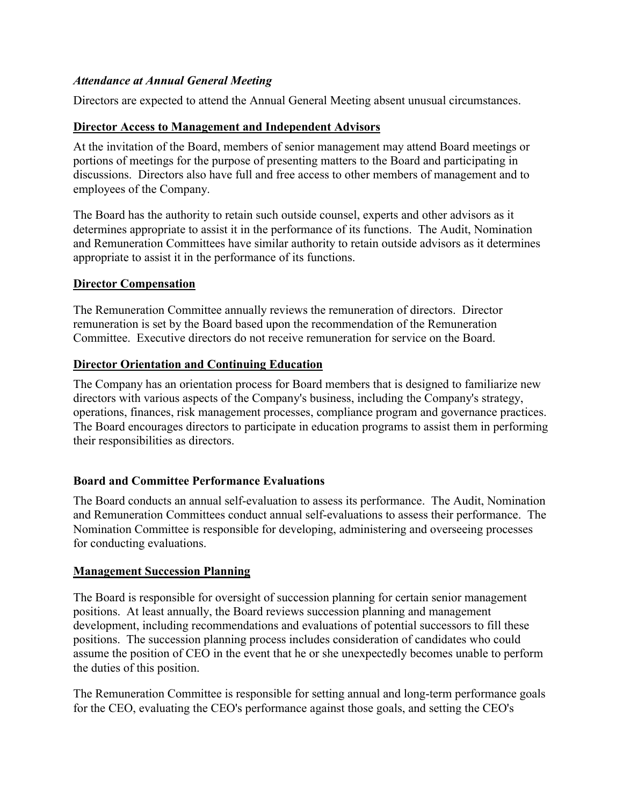### *Attendance at Annual General Meeting*

Directors are expected to attend the Annual General Meeting absent unusual circumstances.

### **Director Access to Management and Independent Advisors**

At the invitation of the Board, members of senior management may attend Board meetings or portions of meetings for the purpose of presenting matters to the Board and participating in discussions. Directors also have full and free access to other members of management and to employees of the Company.

The Board has the authority to retain such outside counsel, experts and other advisors as it determines appropriate to assist it in the performance of its functions. The Audit, Nomination and Remuneration Committees have similar authority to retain outside advisors as it determines appropriate to assist it in the performance of its functions.

### **Director Compensation**

The Remuneration Committee annually reviews the remuneration of directors. Director remuneration is set by the Board based upon the recommendation of the Remuneration Committee. Executive directors do not receive remuneration for service on the Board.

# **Director Orientation and Continuing Education**

The Company has an orientation process for Board members that is designed to familiarize new directors with various aspects of the Company's business, including the Company's strategy, operations, finances, risk management processes, compliance program and governance practices. The Board encourages directors to participate in education programs to assist them in performing their responsibilities as directors.

# **Board and Committee Performance Evaluations**

The Board conducts an annual self-evaluation to assess its performance. The Audit, Nomination and Remuneration Committees conduct annual self-evaluations to assess their performance. The Nomination Committee is responsible for developing, administering and overseeing processes for conducting evaluations.

### **Management Succession Planning**

The Board is responsible for oversight of succession planning for certain senior management positions. At least annually, the Board reviews succession planning and management development, including recommendations and evaluations of potential successors to fill these positions. The succession planning process includes consideration of candidates who could assume the position of CEO in the event that he or she unexpectedly becomes unable to perform the duties of this position.

The Remuneration Committee is responsible for setting annual and long-term performance goals for the CEO, evaluating the CEO's performance against those goals, and setting the CEO's